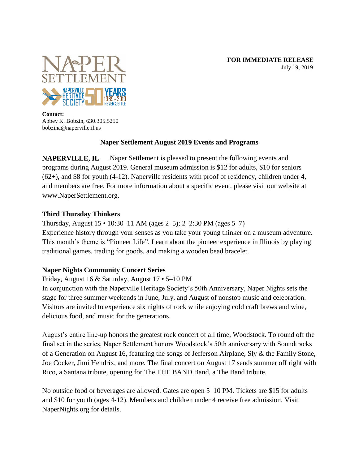**FOR IMMEDIATE RELEASE** July 19, 2019



**Contact:** Abbey K. Bobzin, 630.305.5250 bobzina@naperville.il.us

### **Naper Settlement August 2019 Events and Programs**

**NAPERVILLE, IL —** Naper Settlement is pleased to present the following events and programs during August 2019. General museum admission is \$12 for adults, \$10 for seniors (62+), and \$8 for youth (4-12). Naperville residents with proof of residency, children under 4, and members are free. For more information about a specific event, please visit our website at www.NaperSettlement.org.

### **Third Thursday Thinkers**

Thursday, August 15 • 10:30–11 AM (ages 2–5); 2–2:30 PM (ages 5–7) Experience history through your senses as you take your young thinker on a museum adventure. This month's theme is "Pioneer Life". Learn about the pioneer experience in Illinois by playing traditional games, trading for goods, and making a wooden bead bracelet.

# **Naper Nights Community Concert Series**

Friday, August 16 & Saturday, August 17 • 5–10 PM

In conjunction with the Naperville Heritage Society's 50th Anniversary, Naper Nights sets the stage for three summer weekends in June, July, and August of nonstop music and celebration. Visitors are invited to experience six nights of rock while enjoying cold craft brews and wine, delicious food, and music for the generations.

August's entire line-up honors the greatest rock concert of all time, Woodstock. To round off the final set in the series, Naper Settlement honors Woodstock's 50th anniversary with Soundtracks of a Generation on August 16, featuring the songs of Jefferson Airplane, Sly & the Family Stone, Joe Cocker, Jimi Hendrix, and more. The final concert on August 17 sends summer off right with Rico, a Santana tribute, opening for The THE BAND Band, a The Band tribute.

No outside food or beverages are allowed. Gates are open 5–10 PM. Tickets are \$15 for adults and \$10 for youth (ages 4-12). Members and children under 4 receive free admission. Visit NaperNights.org for details.